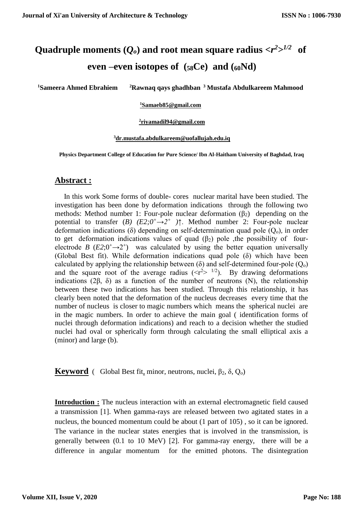# Quadruple moments  $(Q_o)$  and root mean square radius  $\langle r^2 \rangle^{1/2}$  of **even –even isotopes of (58Ce) and (60Nd)**

**<sup>1</sup>Sameera Ahmed Ebrahiem <sup>2</sup>Rawnaq qays ghadhban <sup>3</sup> Mustafa Abdulkareem Mahmood**

## **<sup>1</sup>[Samaeb85@gmail.com](mailto:1Samaeb85@gmail.com)**

### **2 [riyamadil94@gmail.com](mailto:2riyamadil94@gmail.com)**

## **<sup>3</sup>[dr.mustafa.abdulkareem@uofallujah.edu.iq](mailto:dr.mustafa.abdulkareem@uofallujah.edu.iq)**

**Physics Department College of Education for Pure Science/ Ibn Al-Haitham University of Baghdad, Iraq**

## **Abstract :**

 In this work Some forms of double- cores nuclear marital have been studied. The investigation has been done by deformation indications through the following two methods: Method number 1: Four-pole nuclear deformation  $(\beta_2)$  depending on the potential to transfer  $(B)$   $(E2; 0^+ \rightarrow 2^+$   $)$ <sup>\*</sup>. Method number 2: Four-pole nuclear deformation indications (δ) depending on self-determination quad pole  $(Q_0)$ , in order to get deformation indications values of quad  $(\beta_2)$  pole , the possibility of fourelectrode *B*  $(E2; 0^+ \rightarrow 2^+)$  was calculated by using the better equation universally (Global Best fit). While deformation indications quad pole (δ) which have been calculated by applying the relationship between ( $\delta$ ) and self-determined four-pole ( $Q_0$ ) and the square root of the average radius  $(\langle r^2 \rangle)^{1/2}$ . By drawing deformations indications (2β, δ) as a function of the number of neutrons (N), the relationship between these two indications has been studied. Through this relationship, it has clearly been noted that the deformation of the nucleus decreases every time that the number of nucleus is closer to magic numbers which means the spherical nuclei are in the magic numbers. In order to achieve the main goal ( identification forms of nuclei through deformation indications) and reach to a decision whether the studied nuclei had oval or spherically form through calculating the small elliptical axis a (minor) and large (b).

**Keyword** ( Global Best fit, minor, neutrons, nuclei,  $\beta_2$ ,  $\delta$ ,  $Q_0$ )

**Introduction :** The nucleus interaction with an external electromagnetic field caused a transmission [1]. When gamma-rays are released between two agitated states in a nucleus, the bounced momentum could be about (1 part of 105) , so it can be ignored. The variance in the nuclear states energies that is involved in the transmission, is generally between (0.1 to 10 MeV) [2]. For gamma-ray energy, there will be a difference in angular momentum for the emitted photons. The disintegration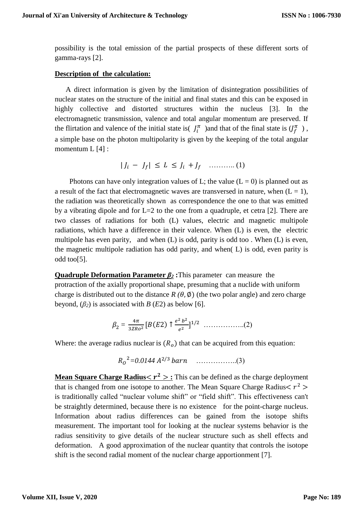possibility is the total emission of the partial prospects of these different sorts of gamma-rays [2].

## **Description of the calculation:**

 A direct information is given by the limitation of disintegration possibilities of nuclear states on the structure of the initial and final states and this can be exposed in highly collective and distorted structures within the nucleus [3]. In the electromagnetic transmission, valence and total angular momentum are preserved. If the flirtation and valence of the initial state is  $J_i^{\pi}$  ) and that of the final state is  $(J_f^{\pi})$ , a simple base on the photon multipolarity is given by the keeping of the total angular momentum L [4] :

| − | ≤ ≤ + ……….. (1)

Photons can have only integration values of L; the value  $(L = 0)$  is planned out as a result of the fact that electromagnetic waves are transversed in nature, when  $(L = 1)$ , the radiation was theoretically shown as correspondence the one to that was emitted by a vibrating dipole and for L=2 to the one from a quadruple, et cetra [2]. There are two classes of radiations for both (L) values, electric and magnetic multipole radiations, which have a difference in their valence. When (L) is even, the electric multipole has even parity, and when (L) is odd, parity is odd too . When (L) is even, the magnetic multipole radiation has odd parity, and when( L) is odd, even parity is odd too[5].

**Quadruple Deformation Parameter** *β<sup>2</sup>* **:**This parameter can measure the protraction of the axially proportional shape, presuming that a nuclide with uniform charge is distributed out to the distance  $R(\theta, \phi)$  (the two polar angle) and zero charge beyond,  $(\beta_2)$  is associated with *B* (*E*2) as below [6].

$$
\beta_2 = \frac{4\pi}{3ZRo^2} [B(E2) \uparrow \frac{e^2 b^2}{e^2}]^{1/2} \dots \dots \dots \dots \dots \dots \dots (2)
$$

Where: the average radius nuclear is  $(R<sub>o</sub>)$  that can be acquired from this equation:

 <sup>2</sup>*=0.0144*  2/3 ……………..(3)

**Mean Square Charge Radius<**  $r^2 >$ **:** This can be defined as the charge deployment that is changed from one isotope to another. The Mean Square Charge Radius $\langle r^2 \rangle$ is traditionally called "nuclear volume shift" or "field shift". This effectiveness can't be straightly determined, because there is no existence for the point-charge nucleus. Information about radius differences can be gained from the isotope shifts measurement. The important tool for looking at the nuclear systems behavior is the radius sensitivity to give details of the nuclear structure such as shell effects and deformation. A good approximation of the nuclear quantity that controls the isotope shift is the second radial moment of the nuclear charge apportionment [7].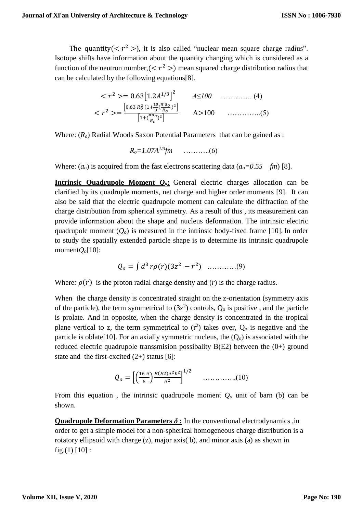The quantity ( $\langle r^2 \rangle$ ), it is also called "nuclear mean square charge radius". Isotope shifts have information about the quantity changing which is considered as a function of the neutron number,  $( $r^2$ ) mean squared charge distribution radius that$ can be calculated by the following equations[8].

$$
\langle r^2 \rangle = 0.63 \left[ 1.2 A^{1/3} \right]^2 \qquad A \le 100 \qquad \dots \dots \dots \dots \tag{4}
$$
\n
$$
\langle r^2 \rangle = \frac{\left[ 0.63 R_0^2 (1 + \frac{10}{3} (\frac{\pi a_0}{R_0})^2 \right]}{\left[ 1 + (\frac{\pi a_0}{R_0})^2 \right]} \qquad A > 100 \qquad \dots \dots \dots \dots \dots \tag{5}
$$

Where:  $(R<sub>o</sub>)$  Radial Woods Saxon Potential Parameters that can be gained as :

 $R_0 = 1.07A^{1/3}$ *fm* …………...(6)

Where:  $(a<sub>o</sub>)$  is acquired from the fast electrons scattering data  $(a<sub>o</sub>=0.55 fm)$  [8].

**Intrinsic Quadrupole Moment** *Qo***:** General electric charges allocation can be clarified by its quadruple moments, net charge and higher order moments [9]. It can also be said that the electric quadrupole moment can calculate the diffraction of the charge distribution from spherical symmetry. As a result of this , its measurement can provide information about the shape and nucleus deformation. The intrinsic electric quadrupole moment  $(Q<sub>o</sub>)$  is measured in the intrinsic body-fixed frame [10]. In order to study the spatially extended particle shape is to determine its intrinsic quadrupole moment $Q$ <sup> $o$ </sup>[10]:

$$
Q_o = \int d^3 r \rho(r) (3z^2 - r^2) \quad \dots \dots \dots (9)
$$

Where:  $\rho(r)$  is the proton radial charge density and (*r*) is the charge radius.

When the charge density is concentrated straight on the z-orientation (symmetry axis of the particle), the term symmetrical to  $(3z<sup>2</sup>)$  controls,  $Q<sub>o</sub>$  is positive, and the particle is prolate. And in opposite, when the charge density is concentrated in the tropical plane vertical to z, the term symmetrical to  $(r^2)$  takes over,  $Q_0$  is negative and the particle is oblate<sup>[10]</sup>. For an axially symmetric nucleus, the  $(Q<sub>o</sub>)$  is associated with the reduced electric quadrupole transsmision possibality  $B(E2)$  between the  $(0+)$  ground state and the first-excited  $(2+)$  status [6]:

$$
Q_o = \left[ \left( \frac{16 \pi}{5} \right) \frac{B(E2)e^2b^2}{e^2} \right]^{1/2} \quad \dots \dots \dots \dots (10)
$$

From this equation, the intrinsic quadrupole moment  $Q<sub>o</sub>$  unit of barn (b) can be shown.

**Quadrupole Deformation Parameters**  $\delta$  **: In the conventional electrodynamics ,in** order to get a simple model for a non-spherical homogeneous charge distribution is a rotatory ellipsoid with charge (z), major axis( b), and minor axis (a) as shown in fig.(1)  $[10]$ :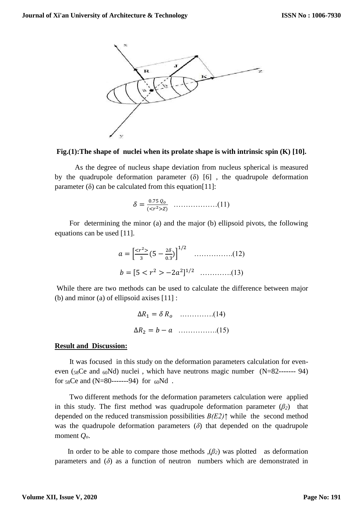

## **Fig.(1):The shape of nuclei when its prolate shape is with intrinsic spin (K) [10].**

 As the degree of nucleus shape deviation from nucleus spherical is measured by the quadrupole deformation parameter  $(\delta)$  [6], the quadrupole deformation parameter  $(\delta)$  can be calculated from this equation[11]:

 = 0.75 (< 2>) ………………(11)

 For determining the minor (a) and the major (b) ellipsoid pivots, the following equations can be used [11].

 = [ < <sup>2</sup>> 3 (5 − 2 0.3 )] 1/2 …………….(12) = [5 < <sup>2</sup> > −2 2 ] 1/2 ………….(13)

While there are two methods can be used to calculate the difference between major (b) and minor (a) of ellipsoid axises [11] :

∆<sup>1</sup> = .………….(14) ∆<sup>2</sup> = − …………….(15)

#### **Result and Discussion:**

 It was focused in this study on the deformation parameters calculation for eveneven ( $58Ce$  and  $60Nd$ ) nuclei, which have neutrons magic number (N=82------- 94) for  $58$ Ce and (N=80-------94) for  $60$ Nd.

 Two different methods for the deformation parameters calculation were applied in this study. The first method was quadrupole deformation parameter  $(\beta_2)$  that depended on the reduced transmission possibilities *B(E2)↑* while the second method was the quadrupole deformation parameters  $(\delta)$  that depended on the quadrupole moment *Qo*.

In order to be able to compare those methods  $(\beta_2)$  was plotted as deformation parameters and  $(\delta)$  as a function of neutron numbers which are demonstrated in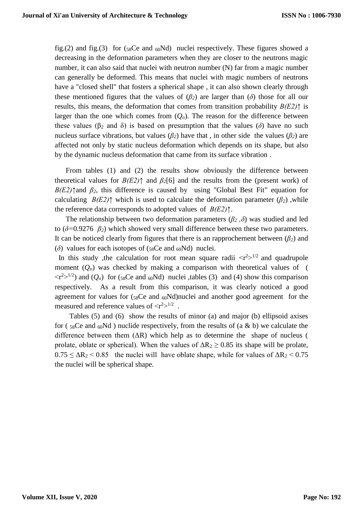fig.(2) and fig.(3) for ( $58Ce$  and  $60Nd$ ) nuclei respectively. These figures showed a decreasing in the deformation parameters when they are closer to the neutrons magic number, it can also said that nuclei with neutron number (N) far from a magic number can generally be deformed. This means that nuclei with magic numbers of neutrons have a "closed shell" that fosters a spherical shape , it can also shown clearly through these mentioned figures that the values of  $(\beta_2)$  are larger than  $(\delta)$  those for all our results, this means, the deformation that comes from transition probability *B(E2)↑* is larger than the one which comes from  $(Q<sub>o</sub>)$ . The reason for the difference between these values ( $\beta_2$  and  $\delta$ ) is based on presumption that the values ( $\delta$ ) have no such nucleus surface vibrations, but values  $(\beta_2)$  have that, in other side the values  $(\beta_2)$  are affected not only by static nucleus deformation which depends on its shape, but also by the dynamic nucleus deformation that came from its surface vibration .

 From tables (1) and (2) the results show obviously the difference between theoretical values for  $B(E2)$ <sup> $\uparrow$ </sup> and  $\beta$ <sub>2</sub>[6] and the results from the (present work) of  $B(E2)$ ↑and  $\beta_2$ , this difference is caused by using "Global Best Fit" equation for calculating *B(E2)* $\uparrow$  which is used to calculate the deformation parameter ( $\beta$ <sub>2</sub>), while the reference data corresponds to adopted values of *B(E2)↑*.

The relationship between two deformation parameters ( $\beta_2$ , $\delta$ ) was studied and led to  $(\delta=0.9276 \beta_2)$  which showed very small difference between these two parameters. It can be noticed clearly from figures that there is an rapprochement between  $(\beta_2)$  and ( $\delta$ ) values for each isotopes of ( $58Ce$  and  $60Nd$ ) nuclei.

In this study , the calculation for root mean square radii  $\langle r^2 \rangle^{1/2}$  and quadrupole moment  $(Q<sub>o</sub>)$  was checked by making a comparison with theoretical values of (  $\langle r^2 \rangle^{1/2}$  and  $(Q_o)$  for (58Ce and 60Nd) nuclei ,tables (3) and (4) show this comparison respectively. As a result from this comparison, it was clearly noticed a good agreement for values for  $(s_8Ce$  and  $_{60}Nd)$  nuclei and another good agreement for the measured and reference values of  $\langle r^2 \rangle^{1/2}$ .

 Tables (5) and (6) show the results of minor (a) and major (b) ellipsoid axises for ( $58Ce$  and  $60Nd$ ) nuclide respectively, from the results of (a & b) we calculate the difference between them  $( \Delta R)$  which help as to determine the shape of nucleus ( prolate, oblate or spherical). When the values of  $\Delta R_2 \ge 0.85$  its shape will be prolate,  $0.75 \leq \Delta R_2 \leq 0.85$  the nuclei will have oblate shape, while for values of  $\Delta R_2 \leq 0.75$ the nuclei will be spherical shape.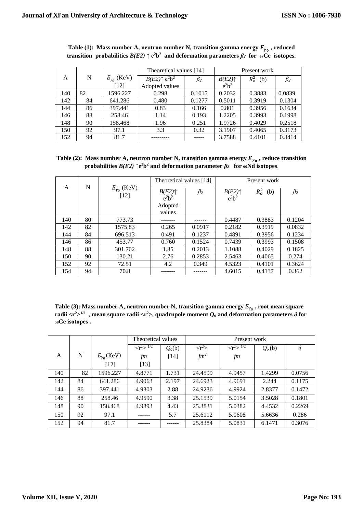|     |    |                      | Theoretical values [14]                       |           |                                          | Present work |           |
|-----|----|----------------------|-----------------------------------------------|-----------|------------------------------------------|--------------|-----------|
| A   | N  | $E_{\gamma_0}$ (KeV) | $B(E2)\uparrow$ e <sup>2</sup> b <sup>2</sup> | $\beta_2$ | $B(E2)$ <sup><math>\uparrow</math></sup> | $R_o^2$ (b)  | $\beta_2$ |
|     |    | $[12]$               | Adopted values                                |           | $e^2b^2$                                 |              |           |
| 140 | 82 | 1596.227             | 0.298                                         | 0.1015    | 0.2032                                   | 0.3883       | 0.0839    |
| 142 | 84 | 641.286              | 0.480                                         | 0.1277    | 0.5011                                   | 0.3919       | 0.1304    |
| 144 | 86 | 397.441              | 0.83                                          | 0.166     | 0.801                                    | 0.3956       | 0.1634    |
| 146 | 88 | 258.46               | 1.14                                          | 0.193     | 1.2205                                   | 0.3993       | 0.1998    |
| 148 | 90 | 158.468              | 1.96                                          | 0.251     | 1.9726                                   | 0.4029       | 0.2518    |
| 150 | 92 | 97.1                 | 3.3                                           | 0.32      | 3.1907                                   | 0.4065       | 0.3173    |
| 152 | 94 | 81.7                 |                                               |           | 3.7588                                   | 0.4101       | 0.3414    |

| Table (1): Mass number A, neutron number N, transition gamma energy $E_{\nu_0}$ , reduced                 |  |  |
|-----------------------------------------------------------------------------------------------------------|--|--|
| transition probabilities $B(E2) \uparrow e^2 b^2$ and deformation parameters $\beta_2$ for ssCe isotopes. |  |  |

Table (2): Mass number A, neutron number N, transition gamma energy  $E_{\gamma_0}$  , reduce transition **probabilities**  $B(E2)$   $\uparrow$  e<sup>2</sup>**b**<sup>2</sup> and deformation parameter  $\beta_2$  for  $\omega$ Nd isotopes.

|     |    | $E_{\gamma_0}$ (KeV)<br>$[12]$ | Theoretical values [14]                              |           | Present work                |             |           |
|-----|----|--------------------------------|------------------------------------------------------|-----------|-----------------------------|-------------|-----------|
| A   | N  |                                | $B(E2)$ <sup><math>\uparrow</math></sup><br>$e^2h^2$ | $\beta_2$ | $B(E2)\uparrow$<br>$e^2b^2$ | $R_o^2$ (b) | $\beta_2$ |
|     |    |                                | Adopted<br>values                                    |           |                             |             |           |
| 140 | 80 | 773.73                         |                                                      |           | 0.4487                      | 0.3883      | 0.1204    |
| 142 | 82 | 1575.83                        | 0.265                                                | 0.0917    | 0.2182                      | 0.3919      | 0.0832    |
| 144 | 84 | 696.513                        | 0.491                                                | 0.1237    | 0.4891                      | 0.3956      | 0.1234    |
| 146 | 86 | 453.77                         | 0.760                                                | 0.1524    | 0.7439                      | 0.3993      | 0.1508    |
| 148 | 88 | 301.702                        | 1.35                                                 | 0.2013    | 1.1088                      | 0.4029      | 0.1825    |
| 150 | 90 | 130.21                         | 2.76                                                 | 0.2853    | 2.5463                      | 0.4065      | 0.274     |
| 152 | 92 | 72.51                          | 4.2                                                  | 0.349     | 4.5323                      | 0.4101      | 0.3624    |
| 154 | 94 | 70.8                           |                                                      |           | 4.6015                      | 0.4137      | 0.362     |

Table (3): Mass number A, neutron number N, transition gamma energy  $E_{\gamma_0}$  , root mean square **radii** <**r**<sup>2</sup>><sup>1/2</sup>, mean square radii <r<sup>2</sup>>, quadrupole moment  $Q_o$  and deformation parameters  $\delta$  for **<sup>58</sup>Ce isotopes .**

|     |    |                      | Theoretical values          |                    |                       | Present work                |          |          |
|-----|----|----------------------|-----------------------------|--------------------|-----------------------|-----------------------------|----------|----------|
|     |    |                      | $\langle r^2 \rangle^{1/2}$ | Q <sub>o</sub> (b) | $\langle r^2 \rangle$ | $\langle r^2 \rangle^{1/2}$ | $Q_o(b)$ | $\delta$ |
| A   | N  | $E_{\gamma_0}$ (KeV) | fm                          | $[14]$             | $fm^2$                | fm                          |          |          |
|     |    | $[12]$               | $[13]$                      |                    |                       |                             |          |          |
| 140 | 82 | 1596.227             | 4.8771                      | 1.731              | 24.4599               | 4.9457                      | 1.4299   | 0.0756   |
| 142 | 84 | 641.286              | 4.9063                      | 2.197              | 24.6923               | 4.9691                      | 2.244    | 0.1175   |
| 144 | 86 | 397.441              | 4.9303                      | 2.88               | 24.9236               | 4.9924                      | 2.8377   | 0.1472   |
| 146 | 88 | 258.46               | 4.9590                      | 3.38               | 25.1539               | 5.0154                      | 3.5028   | 0.1801   |
| 148 | 90 | 158.468              | 4.9893                      | 4.43               | 25.3831               | 5.0382                      | 4.4532   | 0.2269   |
| 150 | 92 | 97.1                 |                             | 5.7                | 25.6112               | 5.0608                      | 5.6636   | 0.286    |
| 152 | 94 | 81.7                 |                             |                    | 25.8384               | 5.0831                      | 6.1471   | 0.3076   |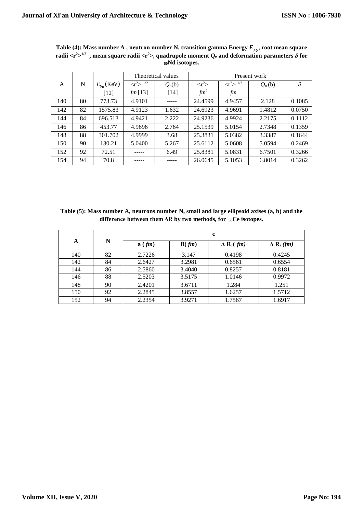|     |    |                      | Theoretical values<br>Present work |                    |                       |                           |          |          |
|-----|----|----------------------|------------------------------------|--------------------|-----------------------|---------------------------|----------|----------|
| A   | N  | $E_{\gamma_0}$ (KeV) | $\langle r^2 \rangle^{1/2}$        | Q <sub>o</sub> (b) | $\langle r^2 \rangle$ | $\langle r^2 \rangle$ 1/2 | $Q_o(b)$ | $\delta$ |
|     |    | $[12]$               | fm [13]                            | $[14]$             | $\mathfrak{f}m^2$     | fm                        |          |          |
| 140 | 80 | 773.73               | 4.9101                             |                    | 24.4599               | 4.9457                    | 2.128    | 0.1085   |
| 142 | 82 | 1575.83              | 4.9123                             | 1.632              | 24.6923               | 4.9691                    | 1.4812   | 0.0750   |
| 144 | 84 | 696.513              | 4.9421                             | 2.222              | 24.9236               | 4.9924                    | 2.2175   | 0.1112   |
| 146 | 86 | 453.77               | 4.9696                             | 2.764              | 25.1539               | 5.0154                    | 2.7348   | 0.1359   |
| 148 | 88 | 301.702              | 4.9999                             | 3.68               | 25.3831               | 5.0382                    | 3.3387   | 0.1644   |
| 150 | 90 | 130.21               | 5.0400                             | 5.267              | 25.6112               | 5.0608                    | 5.0594   | 0.2469   |
| 152 | 92 | 72.51                |                                    | 6.49               | 25.8381               | 5.0831                    | 6.7501   | 0.3266   |
| 154 | 94 | 70.8                 |                                    |                    | 26.0645               | 5.1053                    | 6.8014   | 0.3262   |

Table (4): Mass number **A** , neutron number **N**, transition gamma Energy  $E_{\gamma_0}$ , root mean square  $\bf{r}$  adii < $\bf{r}$ <sup>2</sup>> $\bf{r}$   $\bf{r}$  , mean square radii <  $\bf{r}$ <sup>2</sup>>, quadrupole moment  $Q_o$  and deformation parameters  $\delta$  for **<sup>60</sup>Nd isotopes.**

**Table (5): Mass number A, neutrons number N, small and large ellipsoid axises (a, b) and the difference between them Δ**R **by two methods, for 58Ce isotopes.**

| A   |    | c      |        |                              |                              |  |  |
|-----|----|--------|--------|------------------------------|------------------------------|--|--|
|     | N  | a(fm)  | B(fm)  | $\Delta$ R <sub>1</sub> (fm) | $\Delta$ R <sub>2</sub> (fm) |  |  |
| 140 | 82 | 2.7226 | 3.147  | 0.4198                       | 0.4245                       |  |  |
| 142 | 84 | 2.6427 | 3.2981 | 0.6561                       | 0.6554                       |  |  |
| 144 | 86 | 2.5860 | 3.4040 | 0.8257                       | 0.8181                       |  |  |
| 146 | 88 | 2.5203 | 3.5175 | 1.0146                       | 0.9972                       |  |  |
| 148 | 90 | 2.4201 | 3.6711 | 1.284                        | 1.251                        |  |  |
| 150 | 92 | 2.2845 | 3.8557 | 1.6257                       | 1.5712                       |  |  |
| 152 | 94 | 2.2354 | 3.9271 | 1.7567                       | 1.6917                       |  |  |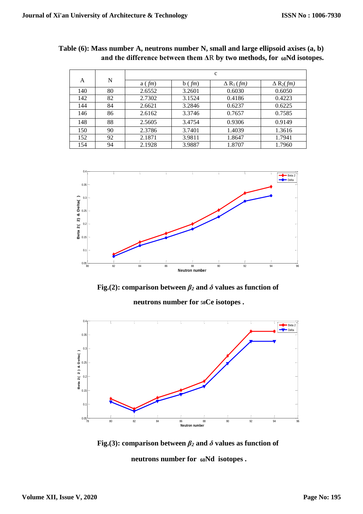|     |    | $\mathbf c$ |              |                            |                   |  |  |  |
|-----|----|-------------|--------------|----------------------------|-------------------|--|--|--|
| A   | N  | a(fm)       | $b$ ( $fm$ ) | $\Delta R_1$ ( <i>fm</i> ) | $\Delta R_2$ (fm) |  |  |  |
| 140 | 80 | 2.6552      | 3.2601       | 0.6030                     | 0.6050            |  |  |  |
| 142 | 82 | 2.7302      | 3.1524       | 0.4186                     | 0.4223            |  |  |  |
| 144 | 84 | 2.6621      | 3.2846       | 0.6237                     | 0.6225            |  |  |  |
| 146 | 86 | 2.6162      | 3.3746       | 0.7657                     | 0.7585            |  |  |  |
| 148 | 88 | 2.5605      | 3.4754       | 0.9306                     | 0.9149            |  |  |  |
| 150 | 90 | 2.3786      | 3.7401       | 1.4039                     | 1.3616            |  |  |  |
| 152 | 92 | 2.1871      | 3.9811       | 1.8647                     | 1.7941            |  |  |  |
| 154 | 94 | 2.1928      | 3.9887       | 1.8707                     | 1.7960            |  |  |  |

**Table (6): Mass number A, neutrons number N, small and large ellipsoid axises (a, b) and the difference between them Δ**R **by two methods, for 60Nd isotopes.**



**Fig.(2): comparison between**  $\beta_2$  **and**  $\delta$  **values as function of** 

**neutrons number for 58Ce isotopes .**



**Fig.(3): comparison between**  $\beta_2$  **and**  $\delta$  **values as function of neutrons number for 60Nd isotopes .**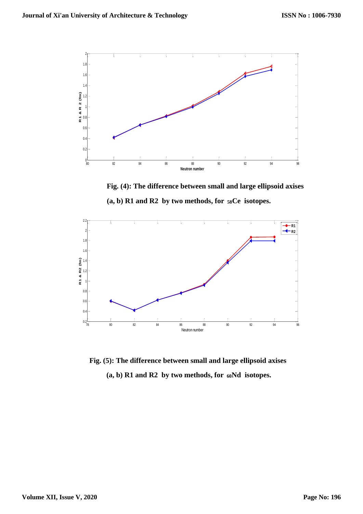

 **Fig. (4): The difference between small and large ellipsoid axises (a, b) R1 and R2 by two methods, for 58Ce isotopes.**



**Fig. (5): The difference between small and large ellipsoid axises (a, b) R1 and R2 by two methods, for 60Nd isotopes.**